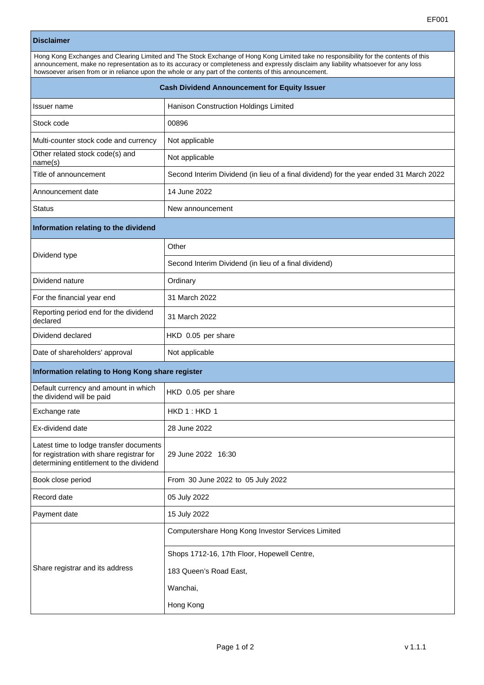## **Disclaimer**

| Hong Kong Exchanges and Clearing Limited and The Stock Exchange of Hong Kong Limited take no responsibility for the contents of this<br>announcement, make no representation as to its accuracy or completeness and expressly disclaim any liability whatsoever for any loss<br>howsoever arisen from or in reliance upon the whole or any part of the contents of this announcement. |                                                                                        |  |
|---------------------------------------------------------------------------------------------------------------------------------------------------------------------------------------------------------------------------------------------------------------------------------------------------------------------------------------------------------------------------------------|----------------------------------------------------------------------------------------|--|
| <b>Cash Dividend Announcement for Equity Issuer</b>                                                                                                                                                                                                                                                                                                                                   |                                                                                        |  |
| Issuer name                                                                                                                                                                                                                                                                                                                                                                           | Hanison Construction Holdings Limited                                                  |  |
| Stock code                                                                                                                                                                                                                                                                                                                                                                            | 00896                                                                                  |  |
| Multi-counter stock code and currency                                                                                                                                                                                                                                                                                                                                                 | Not applicable                                                                         |  |
| Other related stock code(s) and<br>name(s)                                                                                                                                                                                                                                                                                                                                            | Not applicable                                                                         |  |
| Title of announcement                                                                                                                                                                                                                                                                                                                                                                 | Second Interim Dividend (in lieu of a final dividend) for the year ended 31 March 2022 |  |
| Announcement date                                                                                                                                                                                                                                                                                                                                                                     | 14 June 2022                                                                           |  |
| Status                                                                                                                                                                                                                                                                                                                                                                                | New announcement                                                                       |  |
| Information relating to the dividend                                                                                                                                                                                                                                                                                                                                                  |                                                                                        |  |
| Dividend type                                                                                                                                                                                                                                                                                                                                                                         | Other                                                                                  |  |
|                                                                                                                                                                                                                                                                                                                                                                                       | Second Interim Dividend (in lieu of a final dividend)                                  |  |
| Dividend nature                                                                                                                                                                                                                                                                                                                                                                       | Ordinary                                                                               |  |
| For the financial year end                                                                                                                                                                                                                                                                                                                                                            | 31 March 2022                                                                          |  |
| Reporting period end for the dividend<br>declared                                                                                                                                                                                                                                                                                                                                     | 31 March 2022                                                                          |  |
| Dividend declared                                                                                                                                                                                                                                                                                                                                                                     | HKD 0.05 per share                                                                     |  |
| Date of shareholders' approval                                                                                                                                                                                                                                                                                                                                                        | Not applicable                                                                         |  |
| Information relating to Hong Kong share register                                                                                                                                                                                                                                                                                                                                      |                                                                                        |  |
| Default currency and amount in which<br>the dividend will be paid                                                                                                                                                                                                                                                                                                                     | HKD 0.05 per share                                                                     |  |
| Exchange rate                                                                                                                                                                                                                                                                                                                                                                         | HKD1:HKD1                                                                              |  |
| Ex-dividend date                                                                                                                                                                                                                                                                                                                                                                      | 28 June 2022                                                                           |  |
| Latest time to lodge transfer documents<br>for registration with share registrar for<br>determining entitlement to the dividend                                                                                                                                                                                                                                                       | 29 June 2022 16:30                                                                     |  |
| Book close period                                                                                                                                                                                                                                                                                                                                                                     | From 30 June 2022 to 05 July 2022                                                      |  |
| Record date                                                                                                                                                                                                                                                                                                                                                                           | 05 July 2022                                                                           |  |
| Payment date                                                                                                                                                                                                                                                                                                                                                                          | 15 July 2022                                                                           |  |
| Share registrar and its address                                                                                                                                                                                                                                                                                                                                                       | Computershare Hong Kong Investor Services Limited                                      |  |
|                                                                                                                                                                                                                                                                                                                                                                                       | Shops 1712-16, 17th Floor, Hopewell Centre,                                            |  |
|                                                                                                                                                                                                                                                                                                                                                                                       | 183 Queen's Road East,                                                                 |  |
|                                                                                                                                                                                                                                                                                                                                                                                       | Wanchai,                                                                               |  |
|                                                                                                                                                                                                                                                                                                                                                                                       | Hong Kong                                                                              |  |